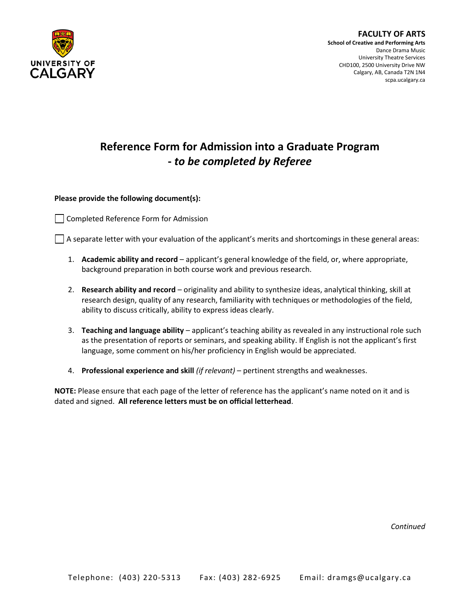

## **Reference Form for Admission into a Graduate Program -** *to be completed by Referee*

**Please provide the following document(s):**

Completed Reference Form for Admission

A separate letter with your evaluation of the applicant's merits and shortcomings in these general areas:

- 1. **Academic ability and record** applicant's general knowledge of the field, or, where appropriate, background preparation in both course work and previous research.
- 2. **Research ability and record** originality and ability to synthesize ideas, analytical thinking, skill at research design, quality of any research, familiarity with techniques or methodologies of the field, ability to discuss critically, ability to express ideas clearly.
- 3. **Teaching and language ability**  applicant's teaching ability as revealed in any instructional role such as the presentation of reports or seminars, and speaking ability. If English is not the applicant's first language, some comment on his/her proficiency in English would be appreciated.
- 4. **Professional experience and skill** *(if relevant)* pertinent strengths and weaknesses.

**NOTE:** Please ensure that each page of the letter of reference has the applicant's name noted on it and is dated and signed. **All reference letters must be on official letterhead**.

*Continued*